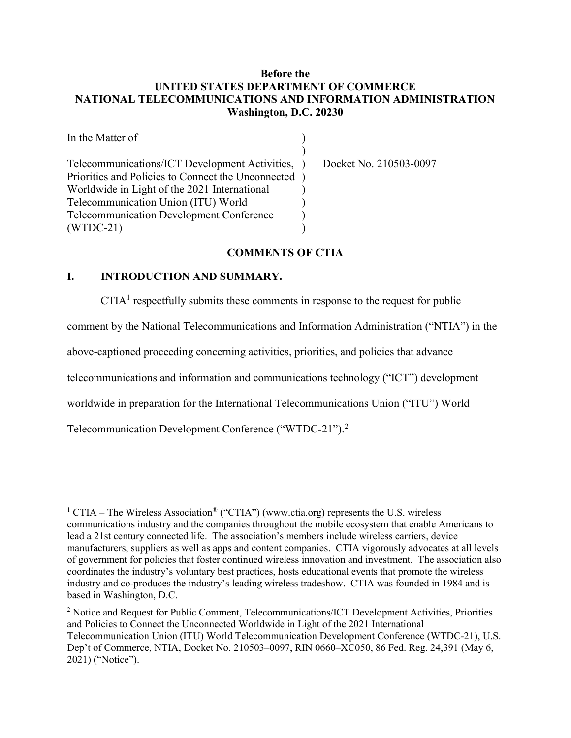## Before the UNITED STATES DEPARTMENT OF COMMERCE NATIONAL TELECOMMUNICATIONS AND INFORMATION ADMINISTRATION Washington, D.C. 20230

| In the Matter of                                   |                        |
|----------------------------------------------------|------------------------|
|                                                    |                        |
| Telecommunications/ICT Development Activities, )   | Docket No. 210503-0097 |
| Priorities and Policies to Connect the Unconnected |                        |
| Worldwide in Light of the 2021 International       |                        |
| Telecommunication Union (ITU) World                |                        |
| Telecommunication Development Conference           |                        |
| $(WTDC-21)$                                        |                        |

#### COMMENTS OF CTIA

#### I. INTRODUCTION AND SUMMARY.

 $\overline{a}$ 

 $CTIA<sup>1</sup>$  respectfully submits these comments in response to the request for public

comment by the National Telecommunications and Information Administration ("NTIA") in the

above-captioned proceeding concerning activities, priorities, and policies that advance

telecommunications and information and communications technology ("ICT") development

worldwide in preparation for the International Telecommunications Union ("ITU") World

Telecommunication Development Conference ("WTDC-21").<sup>2</sup>

<sup>&</sup>lt;sup>1</sup> CTIA – The Wireless Association<sup>®</sup> ("CTIA") (www.ctia.org) represents the U.S. wireless communications industry and the companies throughout the mobile ecosystem that enable Americans to lead a 21st century connected life. The association's members include wireless carriers, device manufacturers, suppliers as well as apps and content companies. CTIA vigorously advocates at all levels of government for policies that foster continued wireless innovation and investment. The association also coordinates the industry's voluntary best practices, hosts educational events that promote the wireless industry and co-produces the industry's leading wireless tradeshow. CTIA was founded in 1984 and is based in Washington, D.C.

<sup>&</sup>lt;sup>2</sup> Notice and Request for Public Comment, Telecommunications/ICT Development Activities, Priorities and Policies to Connect the Unconnected Worldwide in Light of the 2021 International Telecommunication Union (ITU) World Telecommunication Development Conference (WTDC-21), U.S. Dep't of Commerce, NTIA, Docket No. 210503–0097, RIN 0660–XC050, 86 Fed. Reg. 24,391 (May 6, 2021) ("Notice").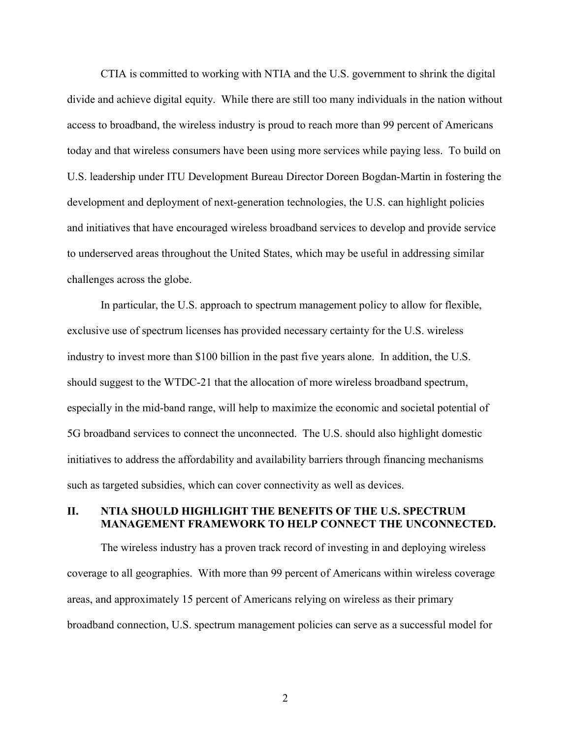CTIA is committed to working with NTIA and the U.S. government to shrink the digital divide and achieve digital equity. While there are still too many individuals in the nation without access to broadband, the wireless industry is proud to reach more than 99 percent of Americans today and that wireless consumers have been using more services while paying less. To build on U.S. leadership under ITU Development Bureau Director Doreen Bogdan-Martin in fostering the development and deployment of next-generation technologies, the U.S. can highlight policies and initiatives that have encouraged wireless broadband services to develop and provide service to underserved areas throughout the United States, which may be useful in addressing similar challenges across the globe.

In particular, the U.S. approach to spectrum management policy to allow for flexible, exclusive use of spectrum licenses has provided necessary certainty for the U.S. wireless industry to invest more than \$100 billion in the past five years alone. In addition, the U.S. should suggest to the WTDC-21 that the allocation of more wireless broadband spectrum, especially in the mid-band range, will help to maximize the economic and societal potential of 5G broadband services to connect the unconnected. The U.S. should also highlight domestic initiatives to address the affordability and availability barriers through financing mechanisms such as targeted subsidies, which can cover connectivity as well as devices.

## II. NTIA SHOULD HIGHLIGHT THE BENEFITS OF THE U.S. SPECTRUM MANAGEMENT FRAMEWORK TO HELP CONNECT THE UNCONNECTED.

The wireless industry has a proven track record of investing in and deploying wireless coverage to all geographies. With more than 99 percent of Americans within wireless coverage areas, and approximately 15 percent of Americans relying on wireless as their primary broadband connection, U.S. spectrum management policies can serve as a successful model for

2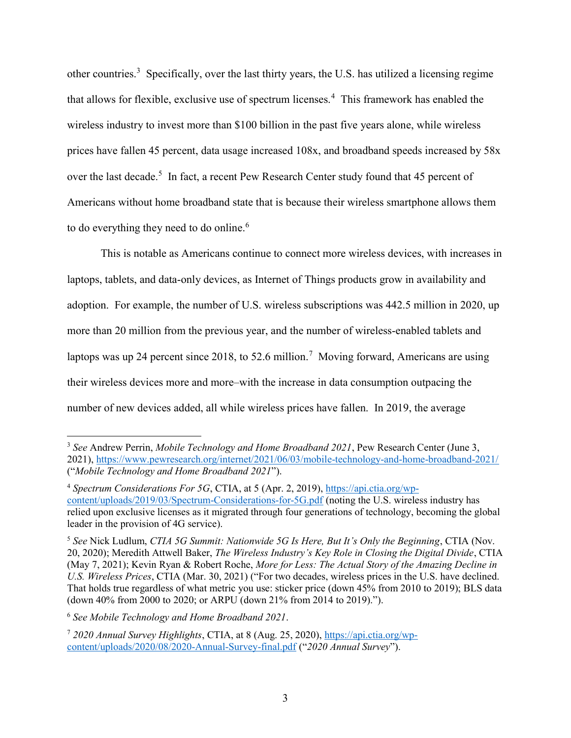other countries.<sup>3</sup> Specifically, over the last thirty years, the U.S. has utilized a licensing regime that allows for flexible, exclusive use of spectrum licenses.<sup>4</sup> This framework has enabled the wireless industry to invest more than \$100 billion in the past five years alone, while wireless prices have fallen 45 percent, data usage increased 108x, and broadband speeds increased by 58x over the last decade.<sup>5</sup> In fact, a recent Pew Research Center study found that 45 percent of Americans without home broadband state that is because their wireless smartphone allows them to do everything they need to do online.<sup>6</sup>

This is notable as Americans continue to connect more wireless devices, with increases in laptops, tablets, and data-only devices, as Internet of Things products grow in availability and adoption. For example, the number of U.S. wireless subscriptions was 442.5 million in 2020, up more than 20 million from the previous year, and the number of wireless-enabled tablets and laptops was up 24 percent since 2018, to 52.6 million.<sup>7</sup> Moving forward, Americans are using their wireless devices more and more–with the increase in data consumption outpacing the number of new devices added, all while wireless prices have fallen. In 2019, the average

<sup>6</sup> See Mobile Technology and Home Broadband 2021.

 $\overline{a}$ 

 $3$  See Andrew Perrin, Mobile Technology and Home Broadband 2021, Pew Research Center (June 3, 2021), https://www.pewresearch.org/internet/2021/06/03/mobile-technology-and-home-broadband-2021/ ("Mobile Technology and Home Broadband 2021").

<sup>4</sup> Spectrum Considerations For 5G, CTIA, at 5 (Apr. 2, 2019), https://api.ctia.org/wpcontent/uploads/2019/03/Spectrum-Considerations-for-5G.pdf (noting the U.S. wireless industry has relied upon exclusive licenses as it migrated through four generations of technology, becoming the global leader in the provision of 4G service).

<sup>&</sup>lt;sup>5</sup> See Nick Ludlum, CTIA 5G Summit: Nationwide 5G Is Here, But It's Only the Beginning, CTIA (Nov. 20, 2020); Meredith Attwell Baker, The Wireless Industry's Key Role in Closing the Digital Divide, CTIA (May 7, 2021); Kevin Ryan & Robert Roche, More for Less: The Actual Story of the Amazing Decline in U.S. Wireless Prices, CTIA (Mar. 30, 2021) ("For two decades, wireless prices in the U.S. have declined. That holds true regardless of what metric you use: sticker price (down 45% from 2010 to 2019); BLS data (down 40% from 2000 to 2020; or ARPU (down 21% from 2014 to 2019).").

<sup>7</sup> 2020 Annual Survey Highlights, CTIA, at 8 (Aug. 25, 2020), https://api.ctia.org/wpcontent/uploads/2020/08/2020-Annual-Survey-final.pdf ("2020 Annual Survey").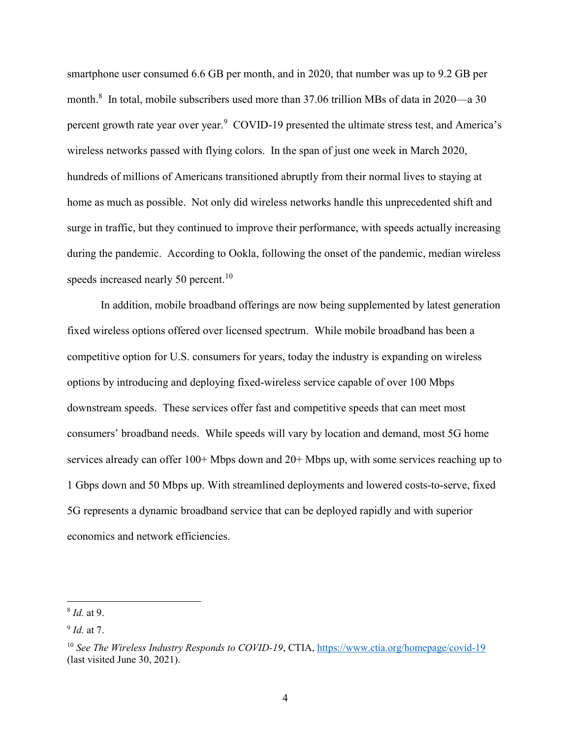smartphone user consumed 6.6 GB per month, and in 2020, that number was up to 9.2 GB per month.<sup>8</sup> In total, mobile subscribers used more than 37.06 trillion MBs of data in 2020—a 30 percent growth rate year over year.<sup>9</sup> COVID-19 presented the ultimate stress test, and America's wireless networks passed with flying colors. In the span of just one week in March 2020, hundreds of millions of Americans transitioned abruptly from their normal lives to staying at home as much as possible. Not only did wireless networks handle this unprecedented shift and surge in traffic, but they continued to improve their performance, with speeds actually increasing during the pandemic. According to Ookla, following the onset of the pandemic, median wireless speeds increased nearly 50 percent.<sup>10</sup>

In addition, mobile broadband offerings are now being supplemented by latest generation fixed wireless options offered over licensed spectrum. While mobile broadband has been a competitive option for U.S. consumers for years, today the industry is expanding on wireless options by introducing and deploying fixed-wireless service capable of over 100 Mbps downstream speeds. These services offer fast and competitive speeds that can meet most consumers' broadband needs. While speeds will vary by location and demand, most 5G home services already can offer 100+ Mbps down and 20+ Mbps up, with some services reaching up to 1 Gbps down and 50 Mbps up. With streamlined deployments and lowered costs-to-serve, fixed 5G represents a dynamic broadband service that can be deployed rapidly and with superior economics and network efficiencies.

 $\overline{a}$ 

<sup>&</sup>lt;sup>8</sup> *Id.* at 9.

 $9$  Id. at 7.

<sup>&</sup>lt;sup>10</sup> See The Wireless Industry Responds to COVID-19, CTIA, https://www.ctia.org/homepage/covid-19 (last visited June 30, 2021).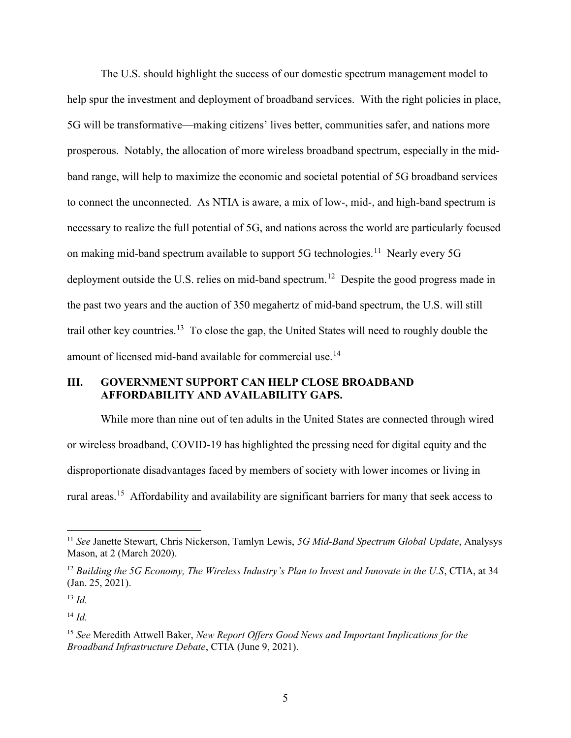The U.S. should highlight the success of our domestic spectrum management model to help spur the investment and deployment of broadband services. With the right policies in place, 5G will be transformative—making citizens' lives better, communities safer, and nations more prosperous. Notably, the allocation of more wireless broadband spectrum, especially in the midband range, will help to maximize the economic and societal potential of 5G broadband services to connect the unconnected. As NTIA is aware, a mix of low-, mid-, and high-band spectrum is necessary to realize the full potential of 5G, and nations across the world are particularly focused on making mid-band spectrum available to support 5G technologies.<sup>11</sup> Nearly every 5G deployment outside the U.S. relies on mid-band spectrum.<sup>12</sup> Despite the good progress made in the past two years and the auction of 350 megahertz of mid-band spectrum, the U.S. will still trail other key countries.<sup>13</sup> To close the gap, the United States will need to roughly double the amount of licensed mid-band available for commercial use.<sup>14</sup>

### III. GOVERNMENT SUPPORT CAN HELP CLOSE BROADBAND AFFORDABILITY AND AVAILABILITY GAPS.

While more than nine out of ten adults in the United States are connected through wired or wireless broadband, COVID-19 has highlighted the pressing need for digital equity and the disproportionate disadvantages faced by members of society with lower incomes or living in rural areas.<sup>15</sup> Affordability and availability are significant barriers for many that seek access to

 $\overline{a}$ 

<sup>&</sup>lt;sup>11</sup> See Janette Stewart, Chris Nickerson, Tamlyn Lewis, 5G Mid-Band Spectrum Global Update, Analysys Mason, at 2 (March 2020).

 $12$  Building the 5G Economy, The Wireless Industry's Plan to Invest and Innovate in the U.S, CTIA, at 34 (Jan. 25, 2021).

 $13 \, Id.$ 

 $^{14}$  Id.

 $15$  See Meredith Attwell Baker, New Report Offers Good News and Important Implications for the Broadband Infrastructure Debate, CTIA (June 9, 2021).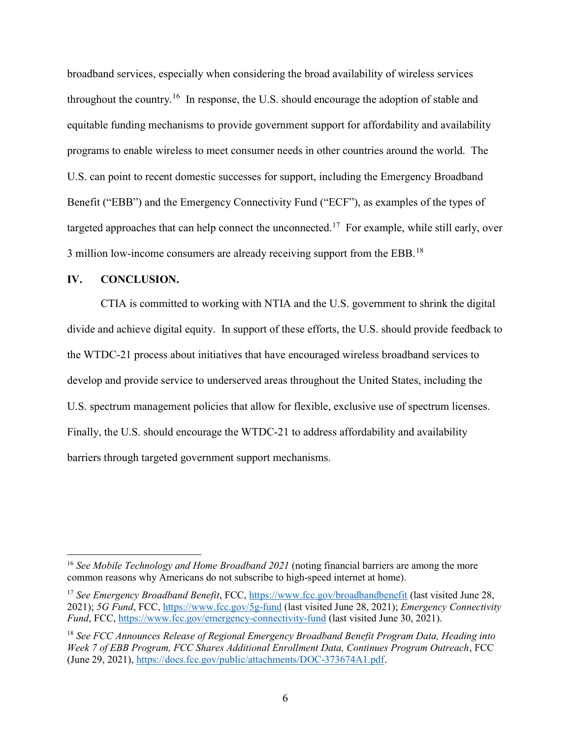broadband services, especially when considering the broad availability of wireless services throughout the country.<sup>16</sup> In response, the U.S. should encourage the adoption of stable and equitable funding mechanisms to provide government support for affordability and availability programs to enable wireless to meet consumer needs in other countries around the world. The U.S. can point to recent domestic successes for support, including the Emergency Broadband Benefit ("EBB") and the Emergency Connectivity Fund ("ECF"), as examples of the types of targeted approaches that can help connect the unconnected.<sup>17</sup> For example, while still early, over 3 million low-income consumers are already receiving support from the EBB.<sup>18</sup>

#### IV. CONCLUSION.

 $\overline{a}$ 

CTIA is committed to working with NTIA and the U.S. government to shrink the digital divide and achieve digital equity. In support of these efforts, the U.S. should provide feedback to the WTDC-21 process about initiatives that have encouraged wireless broadband services to develop and provide service to underserved areas throughout the United States, including the U.S. spectrum management policies that allow for flexible, exclusive use of spectrum licenses. Finally, the U.S. should encourage the WTDC-21 to address affordability and availability barriers through targeted government support mechanisms.

<sup>&</sup>lt;sup>16</sup> See Mobile Technology and Home Broadband 2021 (noting financial barriers are among the more common reasons why Americans do not subscribe to high-speed internet at home).

<sup>&</sup>lt;sup>17</sup> See Emergency Broadband Benefit, FCC, https://www.fcc.gov/broadbandbenefit (last visited June 28, 2021); 5G Fund, FCC, https://www.fcc.gov/5g-fund (last visited June 28, 2021); Emergency Connectivity Fund, FCC, https://www.fcc.gov/emergency-connectivity-fund (last visited June 30, 2021).

 $18$  See FCC Announces Release of Regional Emergency Broadband Benefit Program Data, Heading into Week 7 of EBB Program, FCC Shares Additional Enrollment Data, Continues Program Outreach, FCC (June 29, 2021), https://docs.fcc.gov/public/attachments/DOC-373674A1.pdf.